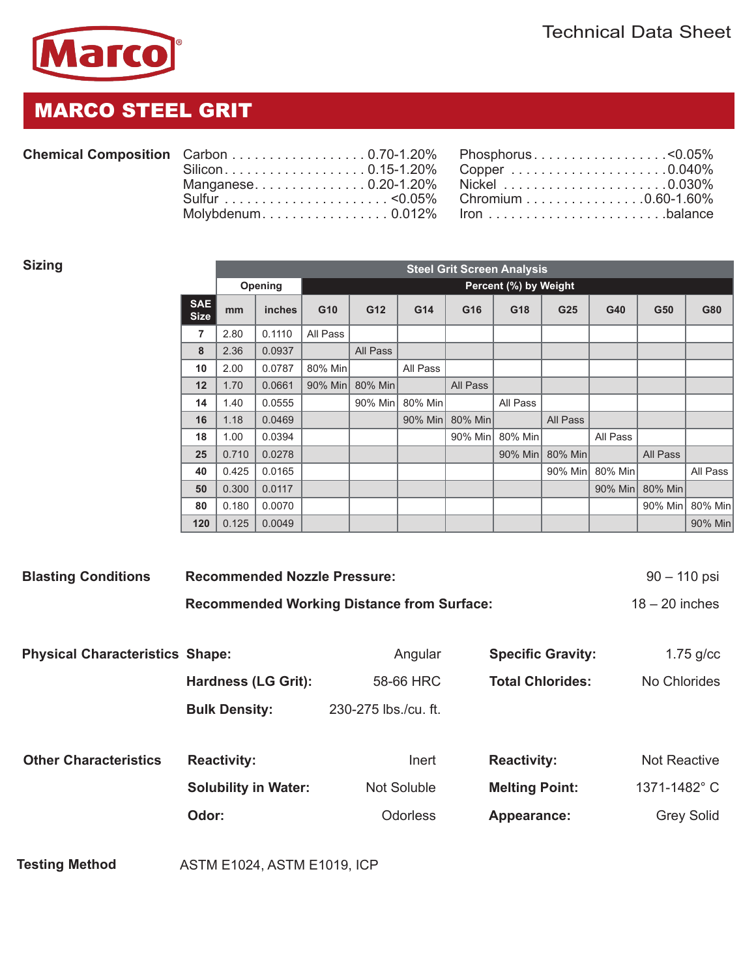

## MARCO STEEL GRIT

|  | <b>Chemical Composition</b> |
|--|-----------------------------|
|--|-----------------------------|

| Chemical Composition Carbon 0.70-1.20% Phosphorus < 0.05% |  |  |
|-----------------------------------------------------------|--|--|
| Silicon0.15-1.20% Copper0.040%                            |  |  |
| Manganese0.20-1.20% Nickel 0.030%                         |  |  |
|                                                           |  |  |
|                                                           |  |  |

| Carbon 0.70-1.20% Phosphorus < 0.05% |  |  |
|--------------------------------------|--|--|
| Silicon0.15-1.20% Copper 0.040%      |  |  |
| Manganese0.20-1.20% Nickel 0.030%    |  |  |
|                                      |  |  |
| Molybdenum0.012% lronbalance         |  |  |

| Sizing                    | <b>Steel Grit Screen Analysis</b> |                                  |          |          |          |          |          |                 |          |                 |          |
|---------------------------|-----------------------------------|----------------------------------|----------|----------|----------|----------|----------|-----------------|----------|-----------------|----------|
|                           |                                   | Opening<br>Percent (%) by Weight |          |          |          |          |          |                 |          |                 |          |
| <b>SAE</b><br><b>Size</b> | mm                                | inches                           | G10      | G12      | G14      | G16      | G18      | G25             | G40      | G50             | G80      |
| 7                         | 2.80                              | 0.1110                           | All Pass |          |          |          |          |                 |          |                 |          |
| 8                         | 2.36                              | 0.0937                           |          | All Pass |          |          |          |                 |          |                 |          |
| 10                        | 2.00                              | 0.0787                           | 80% Min  |          | All Pass |          |          |                 |          |                 |          |
| 12                        | 1.70                              | 0.0661                           | 90% Min  | 80% Min  |          | All Pass |          |                 |          |                 |          |
| 14                        | 1.40                              | 0.0555                           |          | 90% Min  | 80% Min  |          | All Pass |                 |          |                 |          |
| 16                        | 1.18                              | 0.0469                           |          |          | 90% Min  | 80% Min  |          | All Pass        |          |                 |          |
| 18                        | 1.00                              | 0.0394                           |          |          |          | 90% Min  | 80% Min  |                 | All Pass |                 |          |
| 25                        | 0.710                             | 0.0278                           |          |          |          |          |          | 90% Min 80% Min |          | All Pass        |          |
| 40                        | 0.425                             | 0.0165                           |          |          |          |          |          | 90% Min         | 80% Min  |                 | All Pass |
| 50                        | 0.300                             | 0.0117                           |          |          |          |          |          |                 |          | 90% Min 80% Min |          |
| 80                        | 0.180                             | 0.0070                           |          |          |          |          |          |                 |          | 90% Min         | 80% Min  |
| 120                       | 0.125                             | 0.0049                           |          |          |          |          |          |                 |          |                 | 90% Min  |

| <b>Blasting Conditions</b>             | <b>Recommended Nozzle Pressure:</b>               | $90 - 110$ psi       |                          |                     |
|----------------------------------------|---------------------------------------------------|----------------------|--------------------------|---------------------|
|                                        | <b>Recommended Working Distance from Surface:</b> |                      | $18 - 20$ inches         |                     |
|                                        |                                                   |                      |                          |                     |
| <b>Physical Characteristics Shape:</b> |                                                   | Angular              | <b>Specific Gravity:</b> | $1.75$ g/cc         |
|                                        | <b>Hardness (LG Grit):</b>                        | 58-66 HRC            | <b>Total Chlorides:</b>  | No Chlorides        |
|                                        | <b>Bulk Density:</b>                              | 230-275 lbs./cu. ft. |                          |                     |
|                                        |                                                   |                      |                          |                     |
| <b>Other Characteristics</b>           | <b>Reactivity:</b>                                | Inert                | <b>Reactivity:</b>       | <b>Not Reactive</b> |
|                                        | <b>Solubility in Water:</b>                       | <b>Not Soluble</b>   | <b>Melting Point:</b>    | 1371-1482°C         |
|                                        | Odor:                                             | <b>Odorless</b>      | Appearance:              | <b>Grey Solid</b>   |
|                                        |                                                   |                      |                          |                     |
| <b>Testing Method</b>                  | <b>ASTM E1024, ASTM E1019, ICP</b>                |                      |                          |                     |